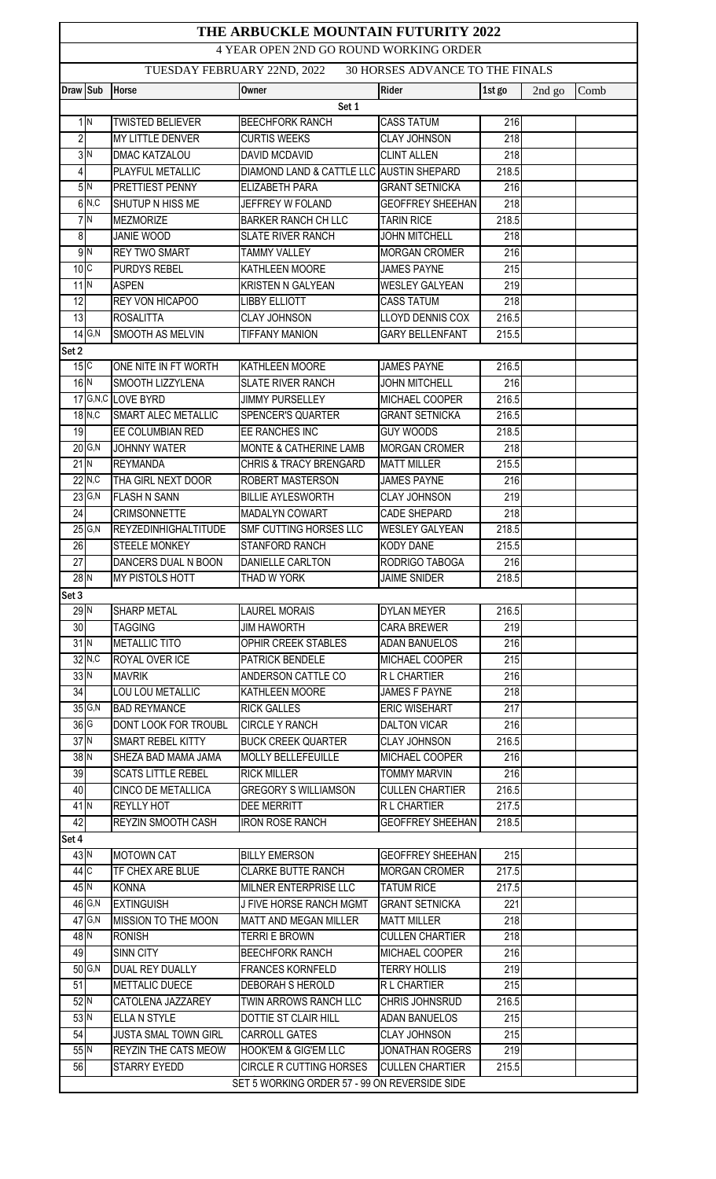| THE ARBUCKLE MOUNTAIN FUTURITY 2022<br>4 YEAR OPEN 2ND GO ROUND WORKING ORDER |                           |                                       |                                                    |                                           |                  |        |      |  |  |  |
|-------------------------------------------------------------------------------|---------------------------|---------------------------------------|----------------------------------------------------|-------------------------------------------|------------------|--------|------|--|--|--|
| <b>30 HORSES ADVANCE TO THE FINALS</b><br>TUESDAY FEBRUARY 22ND, 2022         |                           |                                       |                                                    |                                           |                  |        |      |  |  |  |
|                                                                               |                           |                                       |                                                    |                                           |                  |        |      |  |  |  |
| Draw Sub                                                                      |                           | <b>Horse</b>                          | <b>Owner</b><br>Set 1                              | <b>Rider</b>                              | 1st go           | 2nd go | Comb |  |  |  |
|                                                                               | 1 <sup>N</sup>            | <b>TWISTED BELIEVER</b>               | <b>BEECHFORK RANCH</b>                             | <b>CASS TATUM</b>                         | 216              |        |      |  |  |  |
| $\overline{2}$                                                                |                           | <b>MY LITTLE DENVER</b>               | <b>CURTIS WEEKS</b>                                | <b>CLAY JOHNSON</b>                       | 218              |        |      |  |  |  |
|                                                                               | 3N                        | <b>DMAC KATZALOU</b>                  | DAVID MCDAVID                                      | <b>CLINT ALLEN</b>                        | 218              |        |      |  |  |  |
| $\vert 4 \vert$                                                               |                           | PLAYFUL METALLIC                      | DIAMOND LAND & CATTLE LLC AUSTIN SHEPARD           |                                           | 218.5            |        |      |  |  |  |
|                                                                               | 5N                        | PRETTIEST PENNY                       | <b>ELIZABETH PARA</b>                              | <b>GRANT SETNICKA</b>                     | 216              |        |      |  |  |  |
|                                                                               | 6N, C                     | SHUTUP N HISS ME                      | JEFFREY W FOLAND                                   | <b>GEOFFREY SHEEHAN</b>                   | 218              |        |      |  |  |  |
|                                                                               | $7\overline{\mathrm{N}}$  | <b>MEZMORIZE</b>                      | <b>BARKER RANCH CH LLC</b>                         | <b>TARIN RICE</b>                         | 218.5            |        |      |  |  |  |
| 8                                                                             |                           | <b>JANIE WOOD</b>                     | <b>SLATE RIVER RANCH</b>                           | <b>JOHN MITCHELL</b>                      | 218              |        |      |  |  |  |
|                                                                               | 9N                        | <b>REY TWO SMART</b>                  | <b>TAMMY VALLEY</b>                                | <b>MORGAN CROMER</b>                      | $\overline{216}$ |        |      |  |  |  |
| 10C                                                                           |                           | <b>PURDYS REBEL</b>                   | KATHLEEN MOORE                                     | <b>JAMES PAYNE</b>                        | 215              |        |      |  |  |  |
| $11$ <sup>N</sup>                                                             |                           | <b>ASPEN</b>                          | <b>KRISTEN N GALYEAN</b>                           | <b>WESLEY GALYEAN</b>                     | 219              |        |      |  |  |  |
| 12                                                                            |                           | <b>REY VON HICAPOO</b>                | <b>LIBBY ELLIOTT</b>                               | <b>CASS TATUM</b>                         | 218              |        |      |  |  |  |
| 13                                                                            |                           | <b>ROSALITTA</b>                      | <b>CLAY JOHNSON</b>                                | <b>LLOYD DENNIS COX</b>                   | 216.5            |        |      |  |  |  |
|                                                                               | $14$ G,N                  | <b>SMOOTH AS MELVIN</b>               | <b>TIFFANY MANION</b>                              | <b>GARY BELLENFANT</b>                    | 215.5            |        |      |  |  |  |
| Set 2                                                                         |                           |                                       |                                                    |                                           |                  |        |      |  |  |  |
| 15C                                                                           |                           | ONE NITE IN FT WORTH                  | KATHLEEN MOORE                                     | <b>JAMES PAYNE</b>                        | 216.5            |        |      |  |  |  |
| $16$ <sup>N</sup>                                                             |                           | SMOOTH LIZZYLENA                      | <b>SLATE RIVER RANCH</b>                           | <b>JOHN MITCHELL</b>                      | 216              |        |      |  |  |  |
|                                                                               |                           | 17 G, N, C LOVE BYRD                  | <b>JIMMY PURSELLEY</b>                             | MICHAEL COOPER                            | 216.5            |        |      |  |  |  |
|                                                                               | $18\overline{\text{N,C}}$ | SMART ALEC METALLIC                   | SPENCER'S QUARTER                                  | <b>GRANT SETNICKA</b>                     | 216.5            |        |      |  |  |  |
| 19                                                                            |                           | EE COLUMBIAN RED                      | EE RANCHES INC                                     | <b>GUY WOODS</b>                          | 218.5            |        |      |  |  |  |
|                                                                               | $20$ G, N                 | <b>JOHNNY WATER</b>                   | MONTE & CATHERINE LAMB                             | <b>MORGAN CROMER</b>                      | $\overline{218}$ |        |      |  |  |  |
| $21$ <sup>N</sup>                                                             |                           | <b>REYMANDA</b>                       | <b>CHRIS &amp; TRACY BRENGARD</b>                  | <b>MATT MILLER</b>                        | 215.5            |        |      |  |  |  |
|                                                                               | $22$ <sub>N,C</sub>       | THA GIRL NEXT DOOR                    | ROBERT MASTERSON                                   | <b>JAMES PAYNE</b>                        | 216              |        |      |  |  |  |
|                                                                               | $23$ G, N                 | <b>FLASH N SANN</b>                   | <b>BILLIE AYLESWORTH</b>                           | <b>CLAY JOHNSON</b>                       | $\overline{219}$ |        |      |  |  |  |
| 24                                                                            |                           | <b>CRIMSONNETTE</b>                   | MADALYN COWART                                     | <b>CADE SHEPARD</b>                       | $\overline{218}$ |        |      |  |  |  |
|                                                                               | $25$ G,N                  | <b>REYZEDINHIGHALTITUDE</b>           | SMF CUTTING HORSES LLC                             | <b>WESLEY GALYEAN</b>                     | 218.5            |        |      |  |  |  |
| 26                                                                            |                           | <b>STEELE MONKEY</b>                  | <b>STANFORD RANCH</b>                              | <b>KODY DANE</b>                          | 215.5            |        |      |  |  |  |
| $\overline{27}$                                                               |                           | <b>DANCERS DUAL N BOON</b>            | <b>DANIELLE CARLTON</b>                            | RODRIGO TABOGA                            | 216              |        |      |  |  |  |
| $28$ N                                                                        |                           | <b>MY PISTOLS HOTT</b>                | THAD W YORK                                        | <b>JAIME SNIDER</b>                       | 218.5            |        |      |  |  |  |
| Set 3                                                                         |                           |                                       |                                                    |                                           |                  |        |      |  |  |  |
| 29N                                                                           |                           | <b>SHARP METAL</b>                    | <b>LAUREL MORAIS</b>                               | <b>DYLAN MEYER</b>                        | 216.5            |        |      |  |  |  |
| 30                                                                            |                           | <b>TAGGING</b>                        | <b>JIM HAWORTH</b>                                 | <b>CARA BREWER</b>                        | 219              |        |      |  |  |  |
| $31$ <sup>N</sup>                                                             |                           | <b>METALLIC TITO</b>                  | OPHIR CREEK STABLES                                | <b>ADAN BANUELOS</b>                      | 216              |        |      |  |  |  |
|                                                                               | $32$ N,C                  | ROYAL OVER ICE                        | PATRICK BENDELE                                    | MICHAEL COOPER                            | 215              |        |      |  |  |  |
| 33N                                                                           |                           | <b>MAVRIK</b>                         | ANDERSON CATTLE CO                                 | R L CHARTIER                              | 216              |        |      |  |  |  |
| 34                                                                            |                           | LOU LOU METALLIC                      | KATHLEEN MOORE                                     | <b>JAMES F PAYNE</b>                      | 218              |        |      |  |  |  |
|                                                                               | $35$ G, N                 | <b>BAD REYMANCE</b>                   | <b>RICK GALLES</b>                                 | <b>ERIC WISEHART</b>                      | 217              |        |      |  |  |  |
| 36 G                                                                          |                           | DONT LOOK FOR TROUBL                  | <b>CIRCLE Y RANCH</b>                              | <b>DALTON VICAR</b>                       | 216              |        |      |  |  |  |
| 37 N                                                                          |                           | SMART REBEL KITTY                     | <b>BUCK CREEK QUARTER</b>                          | <b>CLAY JOHNSON</b>                       | 216.5            |        |      |  |  |  |
| 38 N                                                                          |                           | SHEZA BAD MAMA JAMA                   | <b>MOLLY BELLEFEUILLE</b>                          | MICHAEL COOPER                            | 216              |        |      |  |  |  |
| 39                                                                            |                           | <b>SCATS LITTLE REBEL</b>             | <b>RICK MILLER</b>                                 | <b>TOMMY MARVIN</b>                       | 216              |        |      |  |  |  |
| 40                                                                            |                           | CINCO DE METALLICA                    | <b>GREGORY S WILLIAMSON</b>                        | <b>CULLEN CHARTIER</b>                    | 216.5            |        |      |  |  |  |
| $41$ <sup>N</sup>                                                             |                           | <b>REYLLY HOT</b>                     | DEE MERRITT                                        | R L CHARTIER                              | 217.5            |        |      |  |  |  |
| 42                                                                            |                           | <b>REYZIN SMOOTH CASH</b>             | <b>IRON ROSE RANCH</b>                             | <b>GEOFFREY SHEEHAN</b>                   | 218.5            |        |      |  |  |  |
| Set 4                                                                         |                           |                                       |                                                    |                                           |                  |        |      |  |  |  |
| $43$ <sup>N</sup><br>$44$ C                                                   |                           | <b>MOTOWN CAT</b><br>TF CHEX ARE BLUE | <b>BILLY EMERSON</b>                               | <b>GEOFFREY SHEEHAN</b>                   | 215              |        |      |  |  |  |
| 45 N                                                                          |                           | <b>KONNA</b>                          | <b>CLARKE BUTTE RANCH</b><br>MILNER ENTERPRISE LLC | <b>MORGAN CROMER</b><br><b>TATUM RICE</b> | 217.5<br>217.5   |        |      |  |  |  |
|                                                                               | 46 G,N                    | <b>EXTINGUISH</b>                     | J FIVE HORSE RANCH MGMT                            | <b>GRANT SETNICKA</b>                     | 221              |        |      |  |  |  |
|                                                                               | 47 G,N                    | MISSION TO THE MOON                   | MATT AND MEGAN MILLER                              | <b>MATT MILLER</b>                        | 218              |        |      |  |  |  |
| 48 N                                                                          |                           |                                       | TERRI E BROWN                                      | <b>CULLEN CHARTIER</b>                    | 218              |        |      |  |  |  |
| 49                                                                            |                           | <b>RONISH</b><br><b>SINN CITY</b>     | <b>BEECHFORK RANCH</b>                             | MICHAEL COOPER                            | 216              |        |      |  |  |  |
|                                                                               | $50$ G, N                 | <b>DUAL REY DUALLY</b>                | <b>FRANCES KORNFELD</b>                            | <b>TERRY HOLLIS</b>                       | 219              |        |      |  |  |  |
| 51                                                                            |                           | METTALIC DUECE                        | DEBORAH S HEROLD                                   | R L CHARTIER                              | 215              |        |      |  |  |  |
| $52$ <sup>N</sup>                                                             |                           | CATOLENA JAZZAREY                     | TWIN ARROWS RANCH LLC                              | CHRIS JOHNSRUD                            | 216.5            |        |      |  |  |  |
| 53N                                                                           |                           | <b>ELLA N STYLE</b>                   | DOTTIE ST CLAIR HILL                               | <b>ADAN BANUELOS</b>                      | 215              |        |      |  |  |  |
| 54                                                                            |                           | <b>JUSTA SMAL TOWN GIRL</b>           | <b>CARROLL GATES</b>                               | <b>CLAY JOHNSON</b>                       | 215              |        |      |  |  |  |
| 55 N                                                                          |                           | <b>REYZIN THE CATS MEOW</b>           | <b>HOOK'EM &amp; GIG'EM LLC</b>                    | <b>JONATHAN ROGERS</b>                    | $\overline{219}$ |        |      |  |  |  |
| 56                                                                            |                           | STARRY EYEDD                          | CIRCLE R CUTTING HORSES CULLEN CHARTIER            |                                           | 215.5            |        |      |  |  |  |
|                                                                               |                           |                                       | SET 5 WORKING ORDER 57 - 99 ON REVERSIDE SIDE      |                                           |                  |        |      |  |  |  |